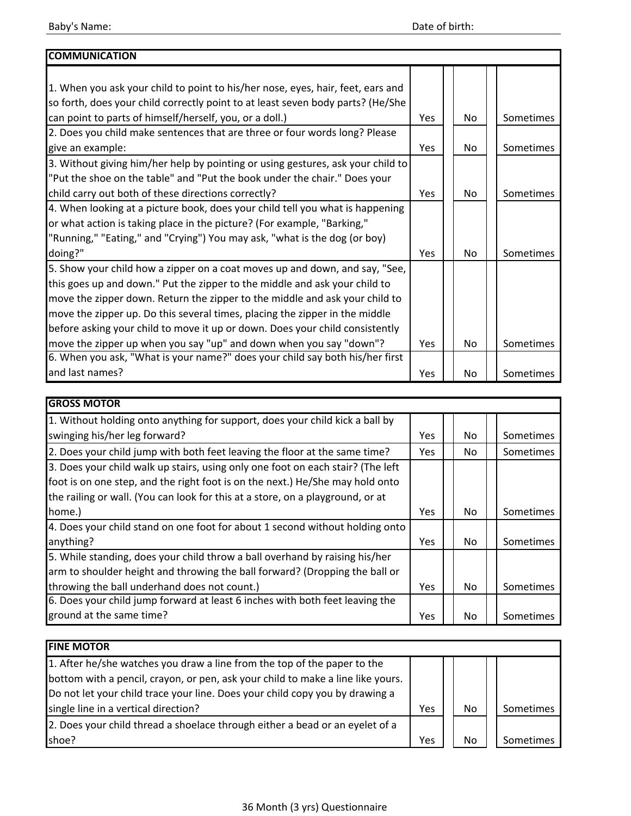| <b>COMMUNICATION</b>                                                            |     |                |           |
|---------------------------------------------------------------------------------|-----|----------------|-----------|
|                                                                                 |     |                |           |
| 1. When you ask your child to point to his/her nose, eyes, hair, feet, ears and |     |                |           |
| so forth, does your child correctly point to at least seven body parts? (He/She |     |                |           |
| can point to parts of himself/herself, you, or a doll.)                         | Yes | No.            | Sometimes |
| 2. Does you child make sentences that are three or four words long? Please      |     |                |           |
| give an example:                                                                | Yes | No.            | Sometimes |
| 3. Without giving him/her help by pointing or using gestures, ask your child to |     |                |           |
| "Put the shoe on the table" and "Put the book under the chair." Does your       |     |                |           |
| child carry out both of these directions correctly?                             | Yes | No.            | Sometimes |
| 4. When looking at a picture book, does your child tell you what is happening   |     |                |           |
| or what action is taking place in the picture? (For example, "Barking,"         |     |                |           |
| "Running," "Eating," and "Crying") You may ask, "what is the dog (or boy)       |     |                |           |
| doing?"                                                                         | Yes | N <sub>o</sub> | Sometimes |
| 5. Show your child how a zipper on a coat moves up and down, and say, "See,     |     |                |           |
| this goes up and down." Put the zipper to the middle and ask your child to      |     |                |           |
| move the zipper down. Return the zipper to the middle and ask your child to     |     |                |           |
| move the zipper up. Do this several times, placing the zipper in the middle     |     |                |           |
| before asking your child to move it up or down. Does your child consistently    |     |                |           |
| move the zipper up when you say "up" and down when you say "down"?              | Yes | No.            | Sometimes |
| 6. When you ask, "What is your name?" does your child say both his/her first    |     |                |           |
| and last names?                                                                 | Yes | No.            | Sometimes |

| <b>GROSS MOTOR</b>                                                              |            |     |           |
|---------------------------------------------------------------------------------|------------|-----|-----------|
| 1. Without holding onto anything for support, does your child kick a ball by    |            |     |           |
| swinging his/her leg forward?                                                   | <b>Yes</b> | No. | Sometimes |
| 2. Does your child jump with both feet leaving the floor at the same time?      | Yes.       | No. | Sometimes |
| 3. Does your child walk up stairs, using only one foot on each stair? (The left |            |     |           |
| foot is on one step, and the right foot is on the next.) He/She may hold onto   |            |     |           |
| the railing or wall. (You can look for this at a store, on a playground, or at  |            |     |           |
| home.)                                                                          | <b>Yes</b> | No. | Sometimes |
| 4. Does your child stand on one foot for about 1 second without holding onto    |            |     |           |
| anything?                                                                       | Yes.       | No. | Sometimes |
| 5. While standing, does your child throw a ball overhand by raising his/her     |            |     |           |
| arm to shoulder height and throwing the ball forward? (Dropping the ball or     |            |     |           |
| throwing the ball underhand does not count.)                                    | <b>Yes</b> | No. | Sometimes |
| 6. Does your child jump forward at least 6 inches with both feet leaving the    |            |     |           |
| ground at the same time?                                                        | <b>Yes</b> | No  | Sometimes |

| <b>FINE MOTOR</b>                                                               |     |     |           |
|---------------------------------------------------------------------------------|-----|-----|-----------|
| 1. After he/she watches you draw a line from the top of the paper to the        |     |     |           |
| bottom with a pencil, crayon, or pen, ask your child to make a line like yours. |     |     |           |
| Do not let your child trace your line. Does your child copy you by drawing a    |     |     |           |
| single line in a vertical direction?                                            | Yes | No. | Sometimes |
| 2. Does your child thread a shoelace through either a bead or an eyelet of a    |     |     |           |
| shoe?                                                                           | Yes | No  | Sometimes |